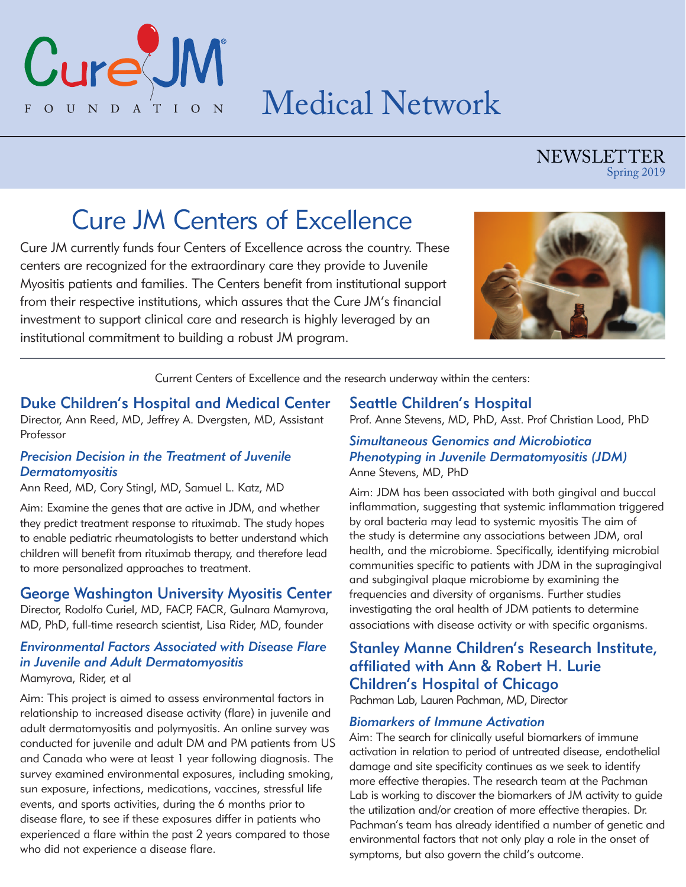Medical Network

### NEWSLETTER Spring 2019

# Cure JM Centers of Excellence

Cure JM currently funds four Centers of Excellence across the country. These centers are recognized for the extraordinary care they provide to Juvenile Myositis patients and families. The Centers benefit from institutional support from their respective institutions, which assures that the Cure JM's financial investment to support clinical care and research is highly leveraged by an institutional commitment to building a robust JM program.



Current Centers of Excellence and the research underway within the centers:

### Duke Children's Hospital and Medical Center

Director, Ann Reed, MD, Jeffrey A. Dvergsten, MD, Assistant Professor

### *Precision Decision in the Treatment of Juvenile Dermatomyositis*

Ann Reed, MD, Cory Stingl, MD, Samuel L. Katz, MD

CureU

FOUNDATIO

Aim: Examine the genes that are active in JDM, and whether they predict treatment response to rituximab. The study hopes to enable pediatric rheumatologists to better understand which children will benefit from rituximab therapy, and therefore lead to more personalized approaches to treatment.

### George Washington University Myositis Center

Director, Rodolfo Curiel, MD, FACP, FACR, Gulnara Mamyrova, MD, PhD, full-time research scientist, Lisa Rider, MD, founder

### *Environmental Factors Associated with Disease Flare in Juvenile and Adult Dermatomyositis* Mamyrova, Rider, et al

Aim: This project is aimed to assess environmental factors in relationship to increased disease activity (flare) in juvenile and adult dermatomyositis and polymyositis. An online survey was conducted for juvenile and adult DM and PM patients from US and Canada who were at least 1 year following diagnosis. The survey examined environmental exposures, including smoking, sun exposure, infections, medications, vaccines, stressful life events, and sports activities, during the 6 months prior to disease flare, to see if these exposures differ in patients who experienced a flare within the past 2 years compared to those who did not experience a disease flare.

### Seattle Children's Hospital

Prof. Anne Stevens, MD, PhD, Asst. Prof Christian Lood, PhD

#### *Simultaneous Genomics and Microbiotica Phenotyping in Juvenile Dermatomyositis (JDM)*  Anne Stevens, MD, PhD

Aim: JDM has been associated with both gingival and buccal inflammation, suggesting that systemic inflammation triggered by oral bacteria may lead to systemic myositis The aim of the study is determine any associations between JDM, oral health, and the microbiome. Specifically, identifying microbial communities specific to patients with JDM in the supragingival and subgingival plaque microbiome by examining the frequencies and diversity of organisms. Further studies investigating the oral health of JDM patients to determine associations with disease activity or with specific organisms.

### Stanley Manne Children's Research Institute, affiliated with Ann & Robert H. Lurie Children's Hospital of Chicago

Pachman Lab, Lauren Pachman, MD, Director

#### *Biomarkers of Immune Activation*

Aim: The search for clinically useful biomarkers of immune activation in relation to period of untreated disease, endothelial damage and site specificity continues as we seek to identify more effective therapies. The research team at the Pachman Lab is working to discover the biomarkers of JM activity to guide the utilization and/or creation of more effective therapies. Dr. Pachman's team has already identified a number of genetic and environmental factors that not only play a role in the onset of symptoms, but also govern the child's outcome.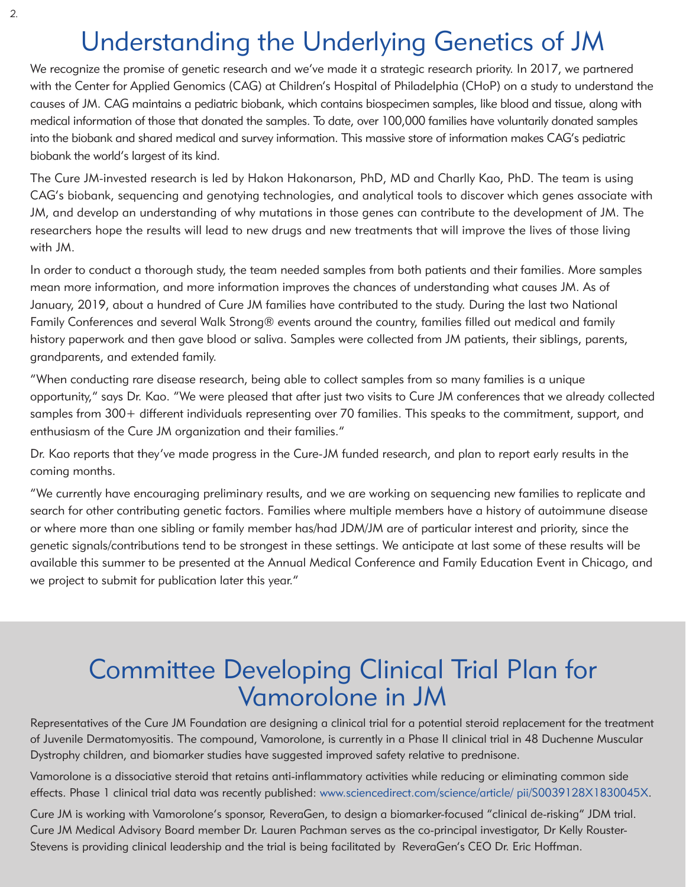# Understanding the Underlying Genetics of JM

We recognize the promise of genetic research and we've made it a strategic research priority. In 2017, we partnered with the Center for Applied Genomics (CAG) at Children's Hospital of Philadelphia (CHoP) on a study to understand the causes of JM. CAG maintains a pediatric biobank, which contains biospecimen samples, like blood and tissue, along with medical information of those that donated the samples. To date, over 100,000 families have voluntarily donated samples into the biobank and shared medical and survey information. This massive store of information makes CAG's pediatric biobank the world's largest of its kind.

The Cure JM-invested research is led by Hakon Hakonarson, PhD, MD and Charlly Kao, PhD. The team is using CAG's biobank, sequencing and genotying technologies, and analytical tools to discover which genes associate with JM, and develop an understanding of why mutations in those genes can contribute to the development of JM. The researchers hope the results will lead to new drugs and new treatments that will improve the lives of those living with JM.

In order to conduct a thorough study, the team needed samples from both patients and their families. More samples mean more information, and more information improves the chances of understanding what causes JM. As of January, 2019, about a hundred of Cure JM families have contributed to the study. During the last two National Family Conferences and several Walk Strong® events around the country, families filled out medical and family history paperwork and then gave blood or saliva. Samples were collected from JM patients, their siblings, parents, grandparents, and extended family.

"When conducting rare disease research, being able to collect samples from so many families is a unique opportunity," says Dr. Kao. "We were pleased that after just two visits to Cure JM conferences that we already collected samples from 300+ different individuals representing over 70 families. This speaks to the commitment, support, and enthusiasm of the Cure JM organization and their families."

Dr. Kao reports that they've made progress in the Cure-JM funded research, and plan to report early results in the coming months.

"We currently have encouraging preliminary results, and we are working on sequencing new families to replicate and search for other contributing genetic factors. Families where multiple members have a history of autoimmune disease or where more than one sibling or family member has/had JDM/JM are of particular interest and priority, since the genetic signals/contributions tend to be strongest in these settings. We anticipate at last some of these results will be available this summer to be presented at the Annual Medical Conference and Family Education Event in Chicago, and we project to submit for publication later this year."

# Committee Developing Clinical Trial Plan for Vamorolone in JM

Representatives of the Cure JM Foundation are designing a clinical trial for a potential steroid replacement for the treatment of Juvenile Dermatomyositis. The compound, Vamorolone, is currently in a Phase II clinical trial in 48 Duchenne Muscular Dystrophy children, and biomarker studies have suggested improved safety relative to prednisone.

Vamorolone is a dissociative steroid that retains anti-inflammatory activities while reducing or eliminating common side effects. Phase 1 clinical trial data was recently published: www.sciencedirect.com/science/article/ pii/S0039128X1830045X.

Cure JM is working with Vamorolone's sponsor, ReveraGen, to design a biomarker-focused "clinical de-risking" JDM trial. Cure JM Medical Advisory Board member Dr. Lauren Pachman serves as the co-principal investigator, Dr Kelly Rouster-Stevens is providing clinical leadership and the trial is being facilitated by ReveraGen's CEO Dr. Eric Hoffman.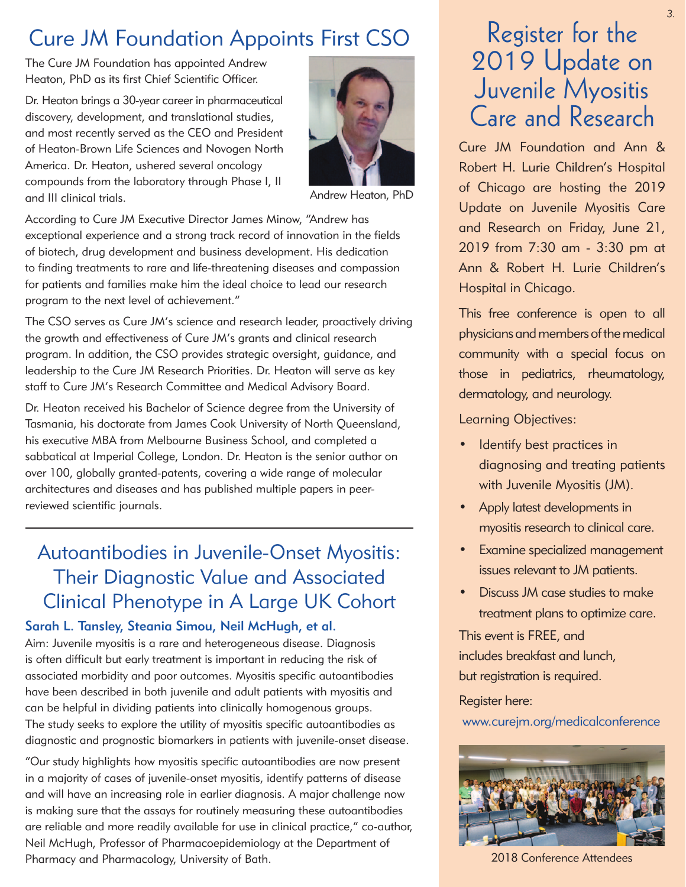## Cure JM Foundation Appoints First CSO

The Cure JM Foundation has appointed Andrew Heaton, PhD as its first Chief Scientific Officer.

Dr. Heaton brings a 30-year career in pharmaceutical discovery, development, and translational studies, and most recently served as the CEO and President of Heaton-Brown Life Sciences and Novogen North America. Dr. Heaton, ushered several oncology compounds from the laboratory through Phase I, II and III clinical trials.



Andrew Heaton, PhD

According to Cure JM Executive Director James Minow, "Andrew has exceptional experience and a strong track record of innovation in the fields of biotech, drug development and business development. His dedication to finding treatments to rare and life-threatening diseases and compassion for patients and families make him the ideal choice to lead our research program to the next level of achievement."

The CSO serves as Cure JM's science and research leader, proactively driving the growth and effectiveness of Cure JM's grants and clinical research program. In addition, the CSO provides strategic oversight, guidance, and leadership to the Cure JM Research Priorities. Dr. Heaton will serve as key staff to Cure JM's Research Committee and Medical Advisory Board.

Dr. Heaton received his Bachelor of Science degree from the University of Tasmania, his doctorate from James Cook University of North Queensland, his executive MBA from Melbourne Business School, and completed a sabbatical at Imperial College, London. Dr. Heaton is the senior author on over 100, globally granted-patents, covering a wide range of molecular architectures and diseases and has published multiple papers in peerreviewed scientific journals.

### Autoantibodies in Juvenile-Onset Myositis: Their Diagnostic Value and Associated Clinical Phenotype in A Large UK Cohort

### Sarah L. Tansley, Steania Simou, Neil McHugh, et al.

Aim: Juvenile myositis is a rare and heterogeneous disease. Diagnosis is often difficult but early treatment is important in reducing the risk of associated morbidity and poor outcomes. Myositis specific autoantibodies have been described in both juvenile and adult patients with myositis and can be helpful in dividing patients into clinically homogenous groups. The study seeks to explore the utility of myositis specific autoantibodies as diagnostic and prognostic biomarkers in patients with juvenile-onset disease.

"Our study highlights how myositis specific autoantibodies are now present in a majority of cases of juvenile-onset myositis, identify patterns of disease and will have an increasing role in earlier diagnosis. A major challenge now is making sure that the assays for routinely measuring these autoantibodies are reliable and more readily available for use in clinical practice," co-author, Neil McHugh, Professor of Pharmacoepidemiology at the Department of Pharmacy and Pharmacology, University of Bath.

# Register for the 2019 Update on Juvenile Myositis Care and Research

Cure JM Foundation and Ann & Robert H. Lurie Children's Hospital of Chicago are hosting the 2019 Update on Juvenile Myositis Care and Research on Friday, June 21, 2019 from 7:30 am - 3:30 pm at Ann & Robert H. Lurie Children's Hospital in Chicago.

This free conference is open to all physicians and members of the medical community with a special focus on those in pediatrics, rheumatology, dermatology, and neurology.

Learning Objectives:

- Identify best practices in diagnosing and treating patients with Juvenile Myositis (JM).
- Apply latest developments in myositis research to clinical care.
- Examine specialized management issues relevant to JM patients.
- Discuss JM case studies to make treatment plans to optimize care.

This event is FREE, and includes breakfast and lunch, but registration is required.

#### Register here:

www.curejm.org/medicalconference



2018 Conference Attendees